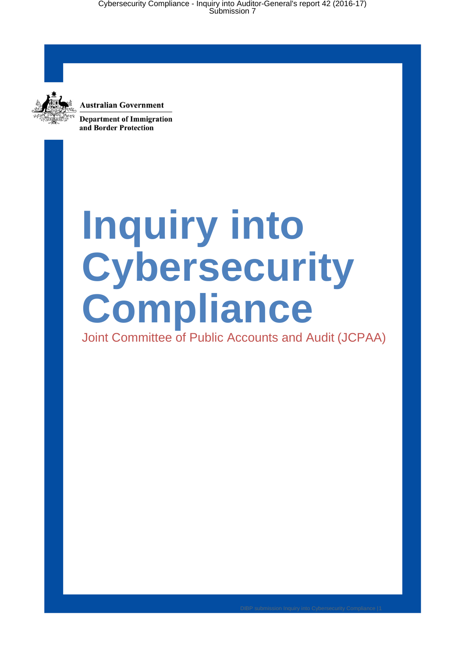

**Australian Government Department of Immigration** 

and Border Protection

# **Inquiry into Cybersecurity Compliance**

Joint Committee of Public Accounts and Audit (JCPAA)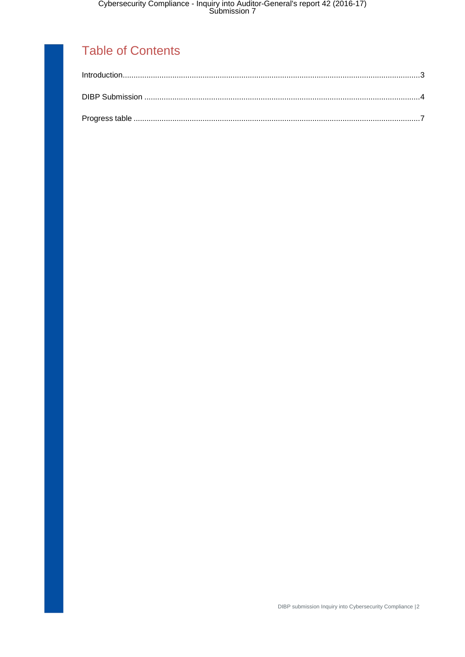#### Table of Contents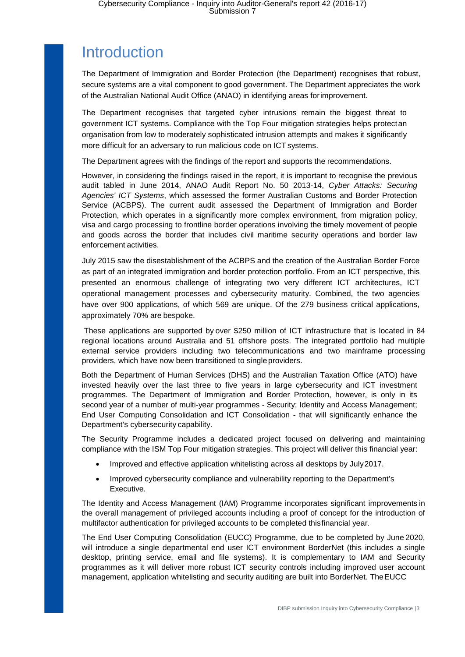### <span id="page-2-0"></span>**Introduction**

The Department of Immigration and Border Protection (the Department) recognises that robust, secure systems are a vital component to good government. The Department appreciates the work of the Australian National Audit Office (ANAO) in identifying areas forimprovement.

The Department recognises that targeted cyber intrusions remain the biggest threat to government ICT systems. Compliance with the Top Four mitigation strategies helps protectan organisation from low to moderately sophisticated intrusion attempts and makes it significantly more difficult for an adversary to run malicious code on ICT systems.

The Department agrees with the findings of the report and supports the recommendations.

However, in considering the findings raised in the report, it is important to recognise the previous audit tabled in June 2014, ANAO Audit Report No. 50 2013-14, *Cyber Attacks: Securing Agencies' ICT Systems*, which assessed the former Australian Customs and Border Protection Service (ACBPS). The current audit assessed the Department of Immigration and Border Protection, which operates in a significantly more complex environment, from migration policy, visa and cargo processing to frontline border operations involving the timely movement of people and goods across the border that includes civil maritime security operations and border law enforcement activities.

July 2015 saw the disestablishment of the ACBPS and the creation of the Australian Border Force as part of an integrated immigration and border protection portfolio. From an ICT perspective, this presented an enormous challenge of integrating two very different ICT architectures, ICT operational management processes and cybersecurity maturity. Combined, the two agencies have over 900 applications, of which 569 are unique. Of the 279 business critical applications, approximately 70% are bespoke.

These applications are supported by over \$250 million of ICT infrastructure that is located in 84 regional locations around Australia and 51 offshore posts. The integrated portfolio had multiple external service providers including two telecommunications and two mainframe processing providers, which have now been transitioned to single providers.

Both the Department of Human Services (DHS) and the Australian Taxation Office (ATO) have invested heavily over the last three to five years in large cybersecurity and ICT investment programmes. The Department of Immigration and Border Protection, however, is only in its second year of a number of multi-year programmes - Security; Identity and Access Management; End User Computing Consolidation and ICT Consolidation - that will significantly enhance the Department's cybersecurity capability.

The Security Programme includes a dedicated project focused on delivering and maintaining compliance with the ISM Top Four mitigation strategies. This project will deliver this financial year:

- Improved and effective application whitelisting across all desktops by July2017.
- Improved cybersecurity compliance and vulnerability reporting to the Department's Executive.

The Identity and Access Management (IAM) Programme incorporates significant improvements in the overall management of privileged accounts including a proof of concept for the introduction of multifactor authentication for privileged accounts to be completed thisfinancial year.

The End User Computing Consolidation (EUCC) Programme, due to be completed by June 2020, will introduce a single departmental end user ICT environment BorderNet (this includes a single desktop, printing service, email and file systems). It is complementary to IAM and Security programmes as it will deliver more robust ICT security controls including improved user account management, application whitelisting and security auditing are built into BorderNet. TheEUCC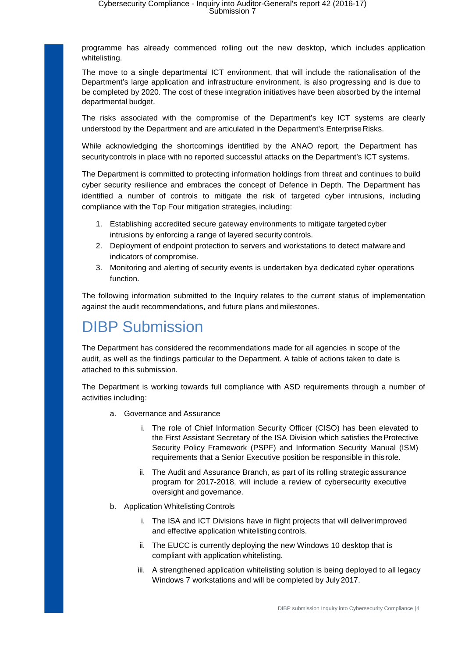programme has already commenced rolling out the new desktop, which includes application whitelisting.

The move to a single departmental ICT environment, that will include the rationalisation of the Department's large application and infrastructure environment, is also progressing and is due to be completed by 2020. The cost of these integration initiatives have been absorbed by the internal departmental budget.

The risks associated with the compromise of the Department's key ICT systems are clearly understood by the Department and are articulated in the Department's Enterprise Risks.

While acknowledging the shortcomings identified by the ANAO report, the Department has securitycontrols in place with no reported successful attacks on the Department's ICT systems.

The Department is committed to protecting information holdings from threat and continues to build cyber security resilience and embraces the concept of Defence in Depth. The Department has identified a number of controls to mitigate the risk of targeted cyber intrusions, including compliance with the Top Four mitigation strategies, including:

- 1. Establishing accredited secure gateway environments to mitigate targeted cyber intrusions by enforcing a range of layered security controls.
- 2. Deployment of endpoint protection to servers and workstations to detect malware and indicators of compromise.
- 3. Monitoring and alerting of security events is undertaken bya dedicated cyber operations function.

The following information submitted to the Inquiry relates to the current status of implementation against the audit recommendations, and future plans andmilestones.

## <span id="page-3-0"></span>DIBP Submission

The Department has considered the recommendations made for all agencies in scope of the audit, as well as the findings particular to the Department. A table of actions taken to date is attached to this submission.

The Department is working towards full compliance with ASD requirements through a number of activities including:

- a. Governance and Assurance
	- i. The role of Chief Information Security Officer (CISO) has been elevated to the First Assistant Secretary of the ISA Division which satisfies theProtective Security Policy Framework (PSPF) and Information Security Manual (ISM) requirements that a Senior Executive position be responsible in thisrole.
	- ii. The Audit and Assurance Branch, as part of its rolling strategic assurance program for 2017-2018, will include a review of cybersecurity executive oversight and governance.
- b. Application Whitelisting Controls
	- i. The ISA and ICT Divisions have in flight projects that will deliverimproved and effective application whitelisting controls.
	- ii. The EUCC is currently deploying the new Windows 10 desktop that is compliant with application whitelisting.
	- iii. A strengthened application whitelisting solution is being deployed to all legacy Windows 7 workstations and will be completed by July 2017.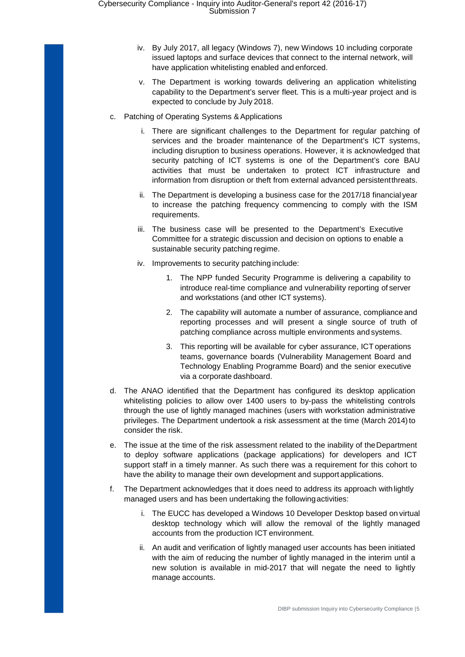- iv. By July 2017, all legacy (Windows 7), new Windows 10 including corporate issued laptops and surface devices that connect to the internal network, will have application whitelisting enabled and enforced.
- v. The Department is working towards delivering an application whitelisting capability to the Department's server fleet. This is a multi-year project and is expected to conclude by July 2018.
- c. Patching of Operating Systems &Applications
	- i. There are significant challenges to the Department for regular patching of services and the broader maintenance of the Department's ICT systems, including disruption to business operations. However, it is acknowledged that security patching of ICT systems is one of the Department's core BAU activities that must be undertaken to protect ICT infrastructure and information from disruption or theft from external advanced persistentthreats.
	- ii. The Department is developing a business case for the 2017/18 financial year to increase the patching frequency commencing to comply with the ISM requirements.
	- iii. The business case will be presented to the Department's Executive Committee for a strategic discussion and decision on options to enable a sustainable security patching regime.
	- iv. Improvements to security patching include:
		- 1. The NPP funded Security Programme is delivering a capability to introduce real-time compliance and vulnerability reporting of server and workstations (and other ICT systems).
		- 2. The capability will automate a number of assurance, compliance and reporting processes and will present a single source of truth of patching compliance across multiple environments and systems.
		- 3. This reporting will be available for cyber assurance, ICT operations teams, governance boards (Vulnerability Management Board and Technology Enabling Programme Board) and the senior executive via a corporate dashboard.
- d. The ANAO identified that the Department has configured its desktop application whitelisting policies to allow over 1400 users to by-pass the whitelisting controls through the use of lightly managed machines (users with workstation administrative privileges. The Department undertook a risk assessment at the time (March 2014) to consider the risk.
- e. The issue at the time of the risk assessment related to the inability of theDepartment to deploy software applications (package applications) for developers and ICT support staff in a timely manner. As such there was a requirement for this cohort to have the ability to manage their own development and support applications.
- f. The Department acknowledges that it does need to address its approach with lightly managed users and has been undertaking the followingactivities:
	- i. The EUCC has developed a Windows 10 Developer Desktop based on virtual desktop technology which will allow the removal of the lightly managed accounts from the production ICT environment.
	- ii. An audit and verification of lightly managed user accounts has been initiated with the aim of reducing the number of lightly managed in the interim until a new solution is available in mid-2017 that will negate the need to lightly manage accounts.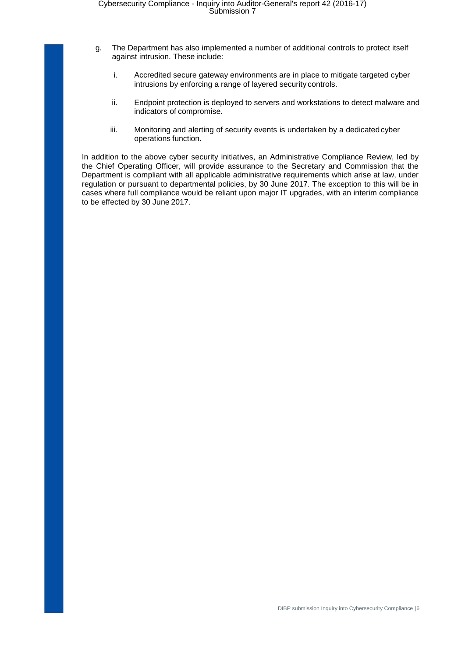- g. The Department has also implemented a number of additional controls to protect itself against intrusion. These include:
	- i. Accredited secure gateway environments are in place to mitigate targeted cyber intrusions by enforcing a range of layered security controls.
	- ii. Endpoint protection is deployed to servers and workstations to detect malware and indicators of compromise.
	- iii. Monitoring and alerting of security events is undertaken by a dedicatedcyber operations function.

In addition to the above cyber security initiatives, an Administrative Compliance Review, led by the Chief Operating Officer, will provide assurance to the Secretary and Commission that the Department is compliant with all applicable administrative requirements which arise at law, under regulation or pursuant to departmental policies, by 30 June 2017. The exception to this will be in cases where full compliance would be reliant upon major IT upgrades, with an interim compliance to be effected by 30 June 2017.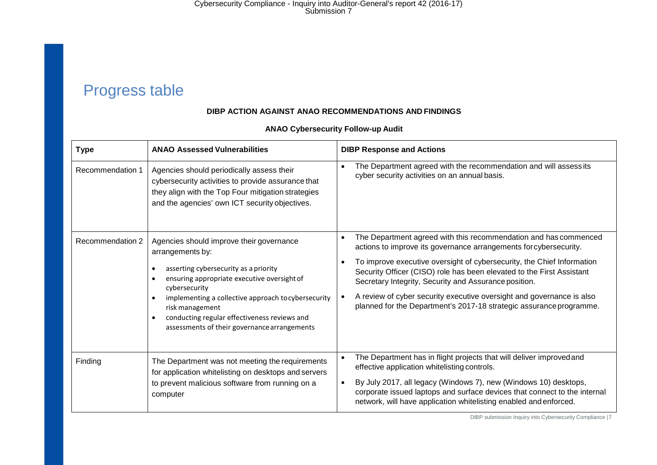Cybersecurity Compliance - Inquiry into Auditor-General's report 42 (2016-17) Submission 7

## Progress table

#### **DIBP ACTION AGAINST ANAO RECOMMENDATIONS AND FINDINGS**

<span id="page-6-0"></span>

| <b>Type</b>      | <b>ANAO Assessed Vulnerabilities</b>                                                                                                                                                                                                                                                                                                            | <b>DIBP Response and Actions</b>                                                                                                                                                                                                                                                                                                                                                                                                                                                                  |
|------------------|-------------------------------------------------------------------------------------------------------------------------------------------------------------------------------------------------------------------------------------------------------------------------------------------------------------------------------------------------|---------------------------------------------------------------------------------------------------------------------------------------------------------------------------------------------------------------------------------------------------------------------------------------------------------------------------------------------------------------------------------------------------------------------------------------------------------------------------------------------------|
| Recommendation 1 | Agencies should periodically assess their<br>cybersecurity activities to provide assurance that<br>they align with the Top Four mitigation strategies<br>and the agencies' own ICT security objectives.                                                                                                                                         | The Department agreed with the recommendation and will assess its<br>cyber security activities on an annual basis.                                                                                                                                                                                                                                                                                                                                                                                |
| Recommendation 2 | Agencies should improve their governance<br>arrangements by:<br>asserting cybersecurity as a priority<br>ensuring appropriate executive oversight of<br>cybersecurity<br>implementing a collective approach to cybersecurity<br>risk management<br>conducting regular effectiveness reviews and<br>assessments of their governance arrangements | The Department agreed with this recommendation and has commenced<br>actions to improve its governance arrangements for cybersecurity.<br>To improve executive oversight of cybersecurity, the Chief Information<br>Security Officer (CISO) role has been elevated to the First Assistant<br>Secretary Integrity, Security and Assurance position.<br>A review of cyber security executive oversight and governance is also<br>planned for the Department's 2017-18 strategic assurance programme. |
| Finding          | The Department was not meeting the requirements<br>for application whitelisting on desktops and servers<br>to prevent malicious software from running on a<br>computer                                                                                                                                                                          | The Department has in flight projects that will deliver improved and<br>effective application whitelisting controls.<br>By July 2017, all legacy (Windows 7), new (Windows 10) desktops,<br>corporate issued laptops and surface devices that connect to the internal<br>network, will have application whitelisting enabled and enforced.                                                                                                                                                        |

#### **ANAO Cybersecurity Follow-up Audit**

DIBP submission Inquiry into Cybersecurity Compliance |7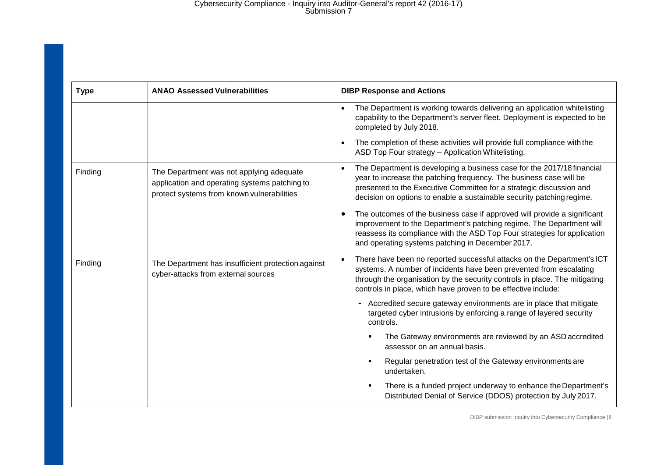#### Cybersecurity Compliance - Inquiry into Auditor-General's report 42 (2016-17) Submission 7

| <b>Type</b> | <b>ANAO Assessed Vulnerabilities</b>                                                                                                    | <b>DIBP Response and Actions</b>                                                                                                                                                                                                                                                                          |
|-------------|-----------------------------------------------------------------------------------------------------------------------------------------|-----------------------------------------------------------------------------------------------------------------------------------------------------------------------------------------------------------------------------------------------------------------------------------------------------------|
|             |                                                                                                                                         | The Department is working towards delivering an application whitelisting<br>$\bullet$<br>capability to the Department's server fleet. Deployment is expected to be<br>completed by July 2018.                                                                                                             |
|             |                                                                                                                                         | The completion of these activities will provide full compliance with the<br>ASD Top Four strategy - Application Whitelisting.                                                                                                                                                                             |
| Finding     | The Department was not applying adequate<br>application and operating systems patching to<br>protect systems from known vulnerabilities | The Department is developing a business case for the 2017/18 financial<br>$\bullet$<br>year to increase the patching frequency. The business case will be<br>presented to the Executive Committee for a strategic discussion and<br>decision on options to enable a sustainable security patching regime. |
|             |                                                                                                                                         | The outcomes of the business case if approved will provide a significant<br>improvement to the Department's patching regime. The Department will<br>reassess its compliance with the ASD Top Four strategies for application<br>and operating systems patching in December 2017.                          |
| Finding     | The Department has insufficient protection against<br>cyber-attacks from external sources                                               | There have been no reported successful attacks on the Department's ICT<br>systems. A number of incidents have been prevented from escalating<br>through the organisation by the security controls in place. The mitigating<br>controls in place, which have proven to be effective include:               |
|             |                                                                                                                                         | Accredited secure gateway environments are in place that mitigate<br>$\qquad \qquad -$<br>targeted cyber intrusions by enforcing a range of layered security<br>controls.                                                                                                                                 |
|             |                                                                                                                                         | The Gateway environments are reviewed by an ASD accredited<br>assessor on an annual basis.                                                                                                                                                                                                                |
|             |                                                                                                                                         | Regular penetration test of the Gateway environments are<br>undertaken.                                                                                                                                                                                                                                   |
|             |                                                                                                                                         | There is a funded project underway to enhance the Department's<br>Distributed Denial of Service (DDOS) protection by July 2017.                                                                                                                                                                           |